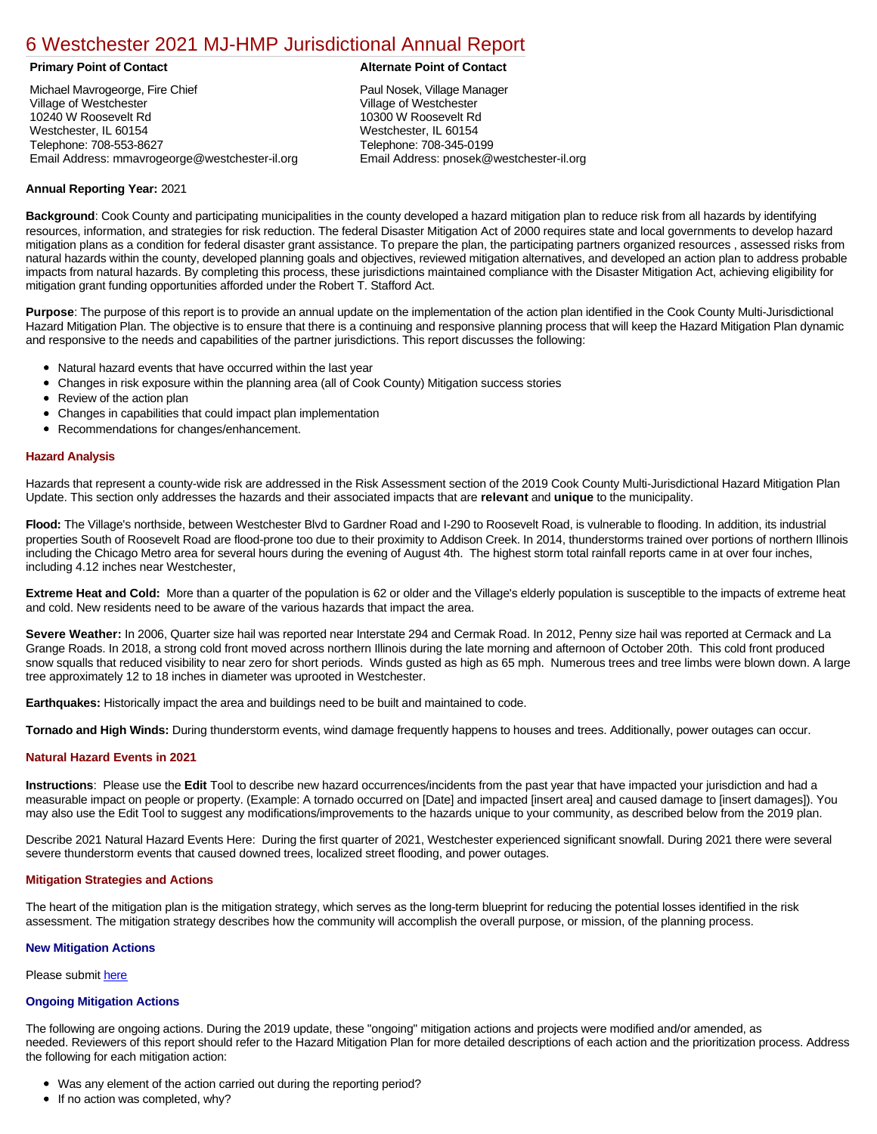# [6 Westchester 2021 MJ-HMP Jurisdictional Annual Report](https://westchester.isc-cemp.com/Cemp/Details?id=8326672)

Michael Mavrogeorge, Fire Chief Village of Westchester 10240 W Roosevelt Rd Westchester, IL 60154 Telephone: 708-553-8627 Email Address: mmavrogeorge@westchester-il.org

# **Primary Point of Contact Alternate Point of Contact**

Paul Nosek, Village Manager Village of Westchester 10300 W Roosevelt Rd Westchester, IL 60154 Telephone: 708-345-0199 Email Address: pnosek@westchester-il.org

# **Annual Reporting Year:** 2021

**Background**: Cook County and participating municipalities in the county developed a hazard mitigation plan to reduce risk from all hazards by identifying resources, information, and strategies for risk reduction. The federal Disaster Mitigation Act of 2000 requires state and local governments to develop hazard mitigation plans as a condition for federal disaster grant assistance. To prepare the plan, the participating partners organized resources , assessed risks from natural hazards within the county, developed planning goals and objectives, reviewed mitigation alternatives, and developed an action plan to address probable impacts from natural hazards. By completing this process, these jurisdictions maintained compliance with the Disaster Mitigation Act, achieving eligibility for mitigation grant funding opportunities afforded under the Robert T. Stafford Act.

**Purpose**: The purpose of this report is to provide an annual update on the implementation of the action plan identified in the Cook County Multi-Jurisdictional Hazard Mitigation Plan. The objective is to ensure that there is a continuing and responsive planning process that will keep the Hazard Mitigation Plan dynamic and responsive to the needs and capabilities of the partner jurisdictions. This report discusses the following:

- Natural hazard events that have occurred within the last year
- Changes in risk exposure within the planning area (all of Cook County) Mitigation success stories
- Review of the action plan
- Changes in capabilities that could impact plan implementation
- Recommendations for changes/enhancement.

# **Hazard Analysis**

Hazards that represent a county-wide risk are addressed in the Risk Assessment section of the 2019 Cook County Multi-Jurisdictional Hazard Mitigation Plan Update. This section only addresses the hazards and their associated impacts that are **relevant** and **unique** to the municipality.

Flood: The Village's northside, between Westchester Blvd to Gardner Road and I-290 to Roosevelt Road, is vulnerable to flooding. In addition, its industrial properties South of Roosevelt Road are flood-prone too due to their proximity to Addison Creek. In 2014, thunderstorms trained over portions of northern Illinois including the Chicago Metro area for several hours during the evening of August 4th. The highest storm total rainfall reports came in at over four inches, including 4.12 inches near Westchester,

**Extreme Heat and Cold:** More than a quarter of the population is 62 or older and the Village's elderly population is susceptible to the impacts of extreme heat and cold. New residents need to be aware of the various hazards that impact the area.

**Severe Weather:** In 2006, Quarter size hail was reported near Interstate 294 and Cermak Road. In 2012, Penny size hail was reported at Cermack and La Grange Roads. In 2018, a strong cold front moved across northern Illinois during the late morning and afternoon of October 20th. This cold front produced snow squalls that reduced visibility to near zero for short periods. Winds gusted as high as 65 mph. Numerous trees and tree limbs were blown down. A large tree approximately 12 to 18 inches in diameter was uprooted in Westchester.

**Earthquakes:** Historically impact the area and buildings need to be built and maintained to code.

**Tornado and High Winds:** During thunderstorm events, wind damage frequently happens to houses and trees. Additionally, power outages can occur.

## **Natural Hazard Events in 2021**

**Instructions**: Please use the **Edit** Tool to describe new hazard occurrences/incidents from the past year that have impacted your jurisdiction and had a measurable impact on people or property. (Example: A tornado occurred on [Date] and impacted [insert area] and caused damage to [insert damages]). You may also use the Edit Tool to suggest any modifications/improvements to the hazards unique to your community, as described below from the 2019 plan.

Describe 2021 Natural Hazard Events Here: During the first quarter of 2021, Westchester experienced significant snowfall. During 2021 there were several severe thunderstorm events that caused downed trees, localized street flooding, and power outages.

## **Mitigation Strategies and Actions**

The heart of the mitigation plan is the mitigation strategy, which serves as the long-term blueprint for reducing the potential losses identified in the risk assessment. The mitigation strategy describes how the community will accomplish the overall purpose, or mission, of the planning process.

#### **New Mitigation Actions**

Please submit [here](https://integratedsolutions.wufoo.com/forms/mg21jvf0jn639o/)

## **Ongoing Mitigation Actions**

The following are ongoing actions. During the 2019 update, these "ongoing" mitigation actions and projects were modified and/or amended, as needed. Reviewers of this report should refer to the Hazard Mitigation Plan for more detailed descriptions of each action and the prioritization process. Address the following for each mitigation action:

- Was any element of the action carried out during the reporting period?
- If no action was completed, why?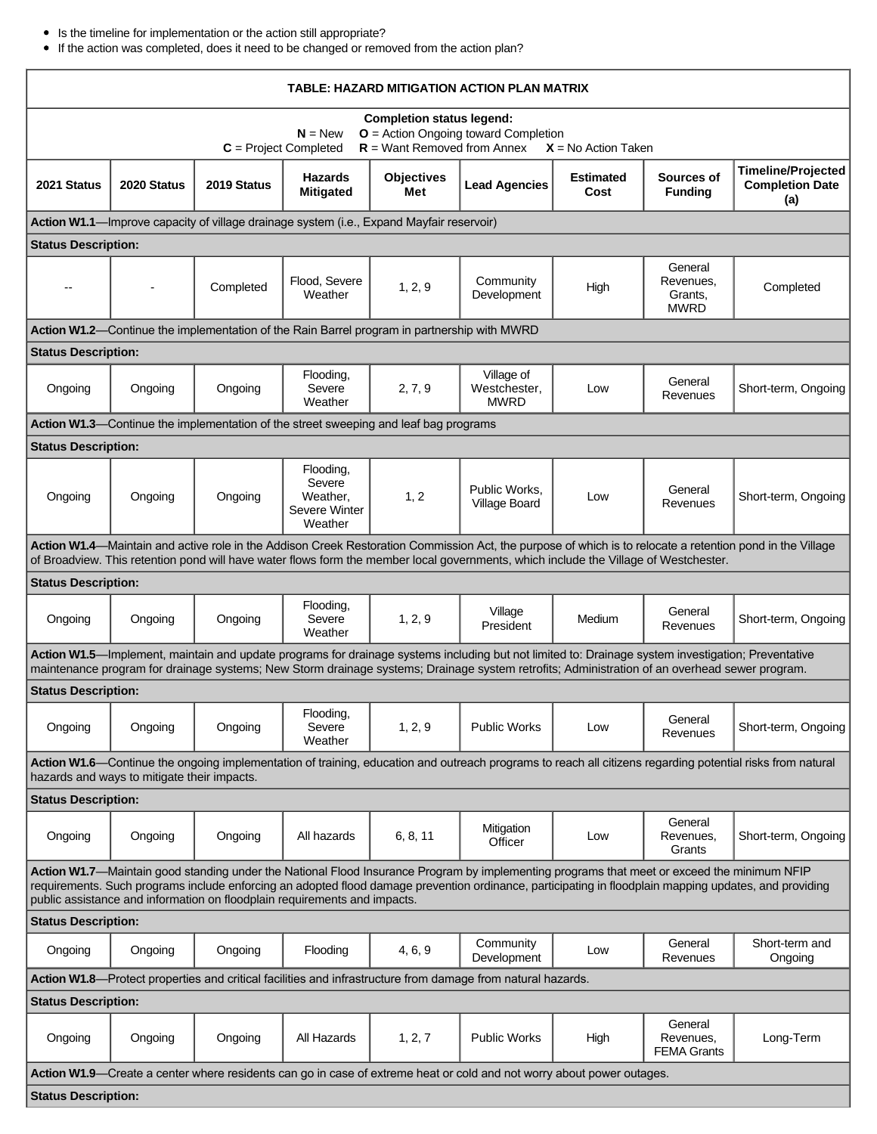- Is the timeline for implementation or the action still appropriate?
- If the action was completed, does it need to be changed or removed from the action plan?

| TABLE: HAZARD MITIGATION ACTION PLAN MATRIX                                                                                                                                                                                                                                                                                                                                        |             |                                                                                      |                                                             |                          |                                           |                          |                                                |                                                            |  |  |  |
|------------------------------------------------------------------------------------------------------------------------------------------------------------------------------------------------------------------------------------------------------------------------------------------------------------------------------------------------------------------------------------|-------------|--------------------------------------------------------------------------------------|-------------------------------------------------------------|--------------------------|-------------------------------------------|--------------------------|------------------------------------------------|------------------------------------------------------------|--|--|--|
| <b>Completion status legend:</b><br>$O =$ Action Ongoing toward Completion<br>$N = New$<br>$R =$ Want Removed from Annex<br>$C = Project Completed$<br>$X = No$ Action Taken                                                                                                                                                                                                       |             |                                                                                      |                                                             |                          |                                           |                          |                                                |                                                            |  |  |  |
| 2021 Status                                                                                                                                                                                                                                                                                                                                                                        | 2020 Status | 2019 Status                                                                          | <b>Hazards</b><br><b>Mitigated</b>                          | <b>Objectives</b><br>Met | <b>Lead Agencies</b>                      | <b>Estimated</b><br>Cost | Sources of<br><b>Funding</b>                   | <b>Timeline/Projected</b><br><b>Completion Date</b><br>(a) |  |  |  |
| Action W1.1-Improve capacity of village drainage system (i.e., Expand Mayfair reservoir)                                                                                                                                                                                                                                                                                           |             |                                                                                      |                                                             |                          |                                           |                          |                                                |                                                            |  |  |  |
| <b>Status Description:</b>                                                                                                                                                                                                                                                                                                                                                         |             |                                                                                      |                                                             |                          |                                           |                          |                                                |                                                            |  |  |  |
|                                                                                                                                                                                                                                                                                                                                                                                    |             | Completed                                                                            | Flood, Severe<br>Weather                                    | 1, 2, 9                  | Community<br>Development                  | High                     | General<br>Revenues,<br>Grants,<br><b>MWRD</b> | Completed                                                  |  |  |  |
| Action W1.2—Continue the implementation of the Rain Barrel program in partnership with MWRD                                                                                                                                                                                                                                                                                        |             |                                                                                      |                                                             |                          |                                           |                          |                                                |                                                            |  |  |  |
| <b>Status Description:</b>                                                                                                                                                                                                                                                                                                                                                         |             |                                                                                      |                                                             |                          |                                           |                          |                                                |                                                            |  |  |  |
| Ongoing                                                                                                                                                                                                                                                                                                                                                                            | Ongoing     | Ongoing                                                                              | Flooding,<br>Severe<br>Weather                              | 2, 7, 9                  | Village of<br>Westchester,<br><b>MWRD</b> | Low                      | General<br>Revenues                            | Short-term, Ongoing                                        |  |  |  |
|                                                                                                                                                                                                                                                                                                                                                                                    |             | Action W1.3—Continue the implementation of the street sweeping and leaf bag programs |                                                             |                          |                                           |                          |                                                |                                                            |  |  |  |
| <b>Status Description:</b>                                                                                                                                                                                                                                                                                                                                                         |             |                                                                                      |                                                             |                          |                                           |                          |                                                |                                                            |  |  |  |
| Ongoing                                                                                                                                                                                                                                                                                                                                                                            | Ongoing     | Ongoing                                                                              | Flooding,<br>Severe<br>Weather,<br>Severe Winter<br>Weather | 1, 2                     | Public Works,<br>Village Board            | Low                      | General<br>Revenues                            | Short-term, Ongoing                                        |  |  |  |
| Action W1.4—Maintain and active role in the Addison Creek Restoration Commission Act, the purpose of which is to relocate a retention pond in the Village<br>of Broadview. This retention pond will have water flows form the member local governments, which include the Village of Westchester.                                                                                  |             |                                                                                      |                                                             |                          |                                           |                          |                                                |                                                            |  |  |  |
| <b>Status Description:</b>                                                                                                                                                                                                                                                                                                                                                         |             |                                                                                      |                                                             |                          |                                           |                          |                                                |                                                            |  |  |  |
| Ongoing                                                                                                                                                                                                                                                                                                                                                                            | Ongoing     | Ongoing                                                                              | Flooding,<br>Severe<br>Weather                              | 1, 2, 9                  | Village<br>President                      | Medium                   | General<br>Revenues                            | Short-term, Ongoing                                        |  |  |  |
| Action W1.5—Implement, maintain and update programs for drainage systems including but not limited to: Drainage system investigation; Preventative<br>maintenance program for drainage systems; New Storm drainage systems; Drainage system retrofits; Administration of an overhead sewer program.                                                                                |             |                                                                                      |                                                             |                          |                                           |                          |                                                |                                                            |  |  |  |
| <b>Status Description:</b>                                                                                                                                                                                                                                                                                                                                                         |             |                                                                                      |                                                             |                          |                                           |                          |                                                |                                                            |  |  |  |
| Ongoing                                                                                                                                                                                                                                                                                                                                                                            | Ongoing     | Ongoing                                                                              | Flooding,<br>Severe<br>Weather                              | 1, 2, 9                  | <b>Public Works</b>                       | Low                      | General<br>Revenues                            | Short-term, Ongoing                                        |  |  |  |
| Action W1.6—Continue the ongoing implementation of training, education and outreach programs to reach all citizens regarding potential risks from natural<br>hazards and ways to mitigate their impacts.                                                                                                                                                                           |             |                                                                                      |                                                             |                          |                                           |                          |                                                |                                                            |  |  |  |
| <b>Status Description:</b>                                                                                                                                                                                                                                                                                                                                                         |             |                                                                                      |                                                             |                          |                                           |                          |                                                |                                                            |  |  |  |
| Ongoing                                                                                                                                                                                                                                                                                                                                                                            | Ongoing     | Ongoing                                                                              | All hazards                                                 | 6, 8, 11                 | Mitigation<br>Officer                     | Low                      | General<br>Revenues,<br>Grants                 | Short-term, Ongoing                                        |  |  |  |
| Action W1.7-Maintain good standing under the National Flood Insurance Program by implementing programs that meet or exceed the minimum NFIP<br>requirements. Such programs include enforcing an adopted flood damage prevention ordinance, participating in floodplain mapping updates, and providing<br>public assistance and information on floodplain requirements and impacts. |             |                                                                                      |                                                             |                          |                                           |                          |                                                |                                                            |  |  |  |
| <b>Status Description:</b>                                                                                                                                                                                                                                                                                                                                                         |             |                                                                                      |                                                             |                          |                                           |                          |                                                |                                                            |  |  |  |
| Ongoing                                                                                                                                                                                                                                                                                                                                                                            | Ongoing     | Ongoing                                                                              | Flooding                                                    | 4, 6, 9                  | Community<br>Development                  | Low                      | General<br>Revenues                            | Short-term and<br>Ongoing                                  |  |  |  |
| Action W1.8—Protect properties and critical facilities and infrastructure from damage from natural hazards.                                                                                                                                                                                                                                                                        |             |                                                                                      |                                                             |                          |                                           |                          |                                                |                                                            |  |  |  |
| <b>Status Description:</b>                                                                                                                                                                                                                                                                                                                                                         |             |                                                                                      |                                                             |                          |                                           |                          |                                                |                                                            |  |  |  |
| Ongoing                                                                                                                                                                                                                                                                                                                                                                            | Ongoing     | Ongoing                                                                              | All Hazards                                                 | 1, 2, 7                  | <b>Public Works</b>                       | High                     | General<br>Revenues,<br><b>FEMA Grants</b>     | Long-Term                                                  |  |  |  |
| Action W1.9—Create a center where residents can go in case of extreme heat or cold and not worry about power outages.                                                                                                                                                                                                                                                              |             |                                                                                      |                                                             |                          |                                           |                          |                                                |                                                            |  |  |  |
| <b>Status Description:</b>                                                                                                                                                                                                                                                                                                                                                         |             |                                                                                      |                                                             |                          |                                           |                          |                                                |                                                            |  |  |  |